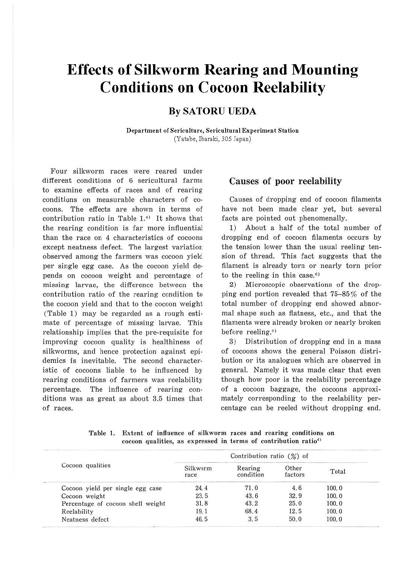# **Effects of Silkworm Rearing and Mounting Conditions on Cocoon Reelability**

## **By SATORU UEDA**

**Department of Sericulture, Sericultural Experiment Station**  (Yatabe, Ibaraki, 305 Japan)

Four silkworm races were reared under different conditions of 6 sericultural farms to examine effects of races and of rearing conditions on measurable characters of cocoons. The effects are shown in terms of contribution ratio in Table  $1<sup>4</sup>$  It shows that the rearing condition is far more influential than the race on 4 characteristics of cocoons except neatness defect. The largest variation observed among the farmers was cocoon yield per single egg case. As the cocoon yield depends on cocoon weight and percentage of missing larvae, the difference between the contribution ratio of the rearing condition to the cocoon yield and that to the cocoon weight (Table 1) may be regarded as a rough estimate of percentage of missing larvae. This relationship implies that the pre-requisite for improving cocoon quality is healthiness of silkworms, and hence protection against epidemics is inevitable. The second characteristic of cocoons liable to be influenced by rearing conditions of farmers was rcelability percentage. The influence of rearing conditions was as great as about 3.5 times that of races.

#### Causes **of poor reelability**

Causes of dropping end of cocoon filaments have not been made clear yet, but several facts are pointed out phenomenally.

1) About a half of the total number of dropping end of cocoon filaments occurs by the tension lower than the usual reeling tension of thread. This fact suggests that the filament is already torn or nearly torn prior to the reeling in this case. $6$ )

2) Microscopic observations of the dropping end portion revealed that  $75-85\%$  of the total number of dropping end showed abnormal shape such as flatness, etc., and that the filaments were already broken or nearly broken before reeling.<sup>s)</sup>

3) Distribution of dropping end in a mass of cocoons shows the general Poisson distribution or its analogues which are observed in general. Namely it was made clear that even though how poor is the reelability percentage of a cocoon baggage, the cocoons approximately corresponding to the reelability percentage can be reeled without dropping end.

| Table 1. Extent of influence of silkworm races and rearing conditions on    |  |
|-----------------------------------------------------------------------------|--|
| cocoon qualities, as expressed in terms of contribution ratio <sup>4)</sup> |  |

|                                   |                  | Contribution ratio $(\frac{\%}{\%})$ of |                  |       |
|-----------------------------------|------------------|-----------------------------------------|------------------|-------|
| Cocoon qualities                  | Silkworm<br>race | Rearing<br>condition                    | Other<br>factors | Total |
| Cocoon yield per single egg case  | 24.4             | 71.0                                    | 4.6              | 100.0 |
| Cocoon weight                     | 23.5             | 43.6                                    | 32.9             | 100.0 |
| Percentage of cocoon shell weight | 31.8             | 43.2                                    | 25.0             | 100.0 |
| Reelability                       | 19.1             | 68.4                                    | 12.5             | 100.0 |
| Neatness defect                   | 46.5             | 3.5                                     | 50.0             | 100.0 |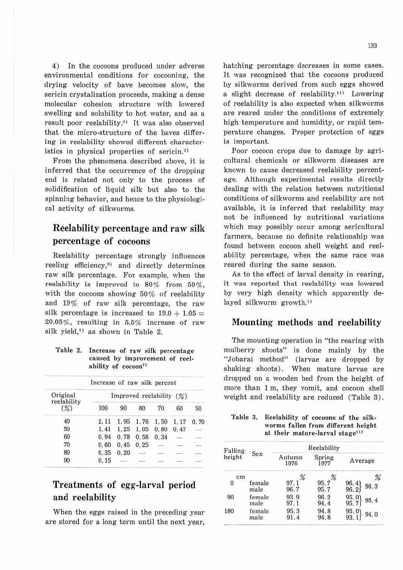4) In the cocoons produced under adverse environmental conditions for cocooning, the drying velocity of have becomes slow, the sericin crystalization proceeds, making a dense molecular cohesion structure with lowered swelling and solubility to hot water, and as a result poor reelability.<sup>3)</sup> It was also observed that the micro-structure of the haves differing in reelability showed different characteristics in physical properties of sericin.<sup>2)</sup>

From the phenomena described above, it is inferred that the occurrence of the dropping end is related not only to the process of solidification of liquid silk but also to the spinning behavior, and hence to the physiological activity of silkworms.

## **Reelability percentage and raw silk percentage of cocoons**

Reelability percentage strongly influences reeling efficiency,<sup>9)</sup> and directly determines raw silk percentage. For example, when the reelability is improved to 80% from 50%, with the cocoons showing 50% of reelability and 19% of raw silk percentage, the raw silk percentage is increased to  $19.0 + 1.05 =$ 20.05%, resulting in 5.5% increase of raw silk yield, $7$  as shown in Table 2.

Table 2. Increase of raw silk percentage caused by improvement of reelability of cocoon7'

| Increase of raw silk percent |                          |       |      |      |             |      |  |  |  |
|------------------------------|--------------------------|-------|------|------|-------------|------|--|--|--|
| Original                     | Improved reelability (%) |       |      |      |             |      |  |  |  |
| reelability<br>$(\%)$        | 100                      | 90    | 80   | 70   | 60          | 50   |  |  |  |
| 40                           | 2.11                     | 1.95  | 1.76 | 1.50 | 1.17        | 0.70 |  |  |  |
| 50                           | 1.41                     | 1.25  | 1.05 | 0.80 | 0.47        |      |  |  |  |
| 60                           | 0.94                     | 0.78  | 0.58 | 0.34 |             |      |  |  |  |
| 70                           | 0.60                     | 0.45  | 0.25 |      | <b>STRA</b> |      |  |  |  |
| 80                           | 0.35                     | 0, 20 | $-2$ |      |             |      |  |  |  |
| 90                           | 0.15                     |       |      |      |             |      |  |  |  |

## **Treatments of egg-larval period and reelability**

When the eggs raised in the preceding year are stored for a long term until the next year, hatching percentage decreases in some cases. It was recognized that the cocoons produced by silkworms derived from such eggs showed a slight decrease of reelability.<sup>11)</sup> Lowering of reelability is also expected when silkworms are reared under the conditions of extremely high temperature and humidity, or rapid temperature changes. Proper protection of eggs is important.

Poor cocoon crops due to damage by agricultural chemicals or silkworm diseases are known to cause decreased reelability percentage. Although experimental results directly dealing with the relation between nutritional conditions of silkworms and reelability are not available, it is inferred that reelability may not be influenced by nutritional variations which may possibly occur among sericultural farmers, because no definite relationship was found between cocoon shell weight and reelability percentage, when the same race was reared during the same season.

As to the effect of larval density in rearing, it was reported that reelability was lowered by very high density which apparently delayed silkworm growth.<sup>1)</sup>

#### **Mounting methods and reelability**

The mounting operation in "the rearing with mulberry shoots" is done mainly by the "Jobarai method" (larvae are dropped by shaking shoots). When mature larvae are dropped on a wooden bed from the height of more than 1 m, they vomit, and cocoon shell weight and reelability are reduced (Table 3).

#### Table 3. Reelability of cocoons of the silkworms fallen from different height at their mature-larval stage<sup>11)</sup> rom different<br>e-larval stag<br>teelability

| Falling |                | Reelability    |                |                       |  |  |  |  |
|---------|----------------|----------------|----------------|-----------------------|--|--|--|--|
| height  | <b>Sex</b>     | Autumn<br>1976 | Spring<br>1977 | Average               |  |  |  |  |
| cm      |                | %              | %              | %                     |  |  |  |  |
| 0       | female<br>male | 97.1<br>96.7   | 95.7<br>95.7   | 96.4<br>96.3<br>96.2  |  |  |  |  |
| 90      | female<br>male | 93.9<br>97.1   | 96.2<br>94.4   | 95.01<br>95.4<br>95.7 |  |  |  |  |
| 180     | female<br>male | 95.3<br>91.4   | 94.8<br>94.8   | 95.0<br>94.0<br>93.1  |  |  |  |  |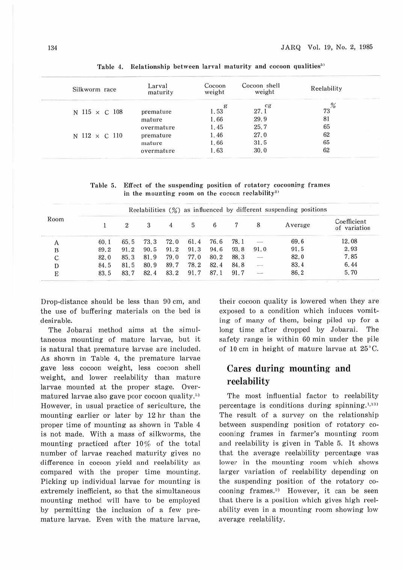| Silkworm race        | Larval<br>maturity | Cocoon<br>weight | Cocoon shell<br>weight | Reelability |
|----------------------|--------------------|------------------|------------------------|-------------|
| N 115 $\times$ C 108 | premature          | 1.53             | cg<br>27.1             | %<br>73     |
|                      | mature             | 1.66             | 29.9                   | 81          |
|                      | overmature         | 1.45             | 25.7                   | 65          |
| N $112 \times C$ 110 | premature          | 1.46             | 27.0                   | 62          |
|                      | mature             | 1.66             | 31.5                   | 65          |
|                      | overmature         | 1.63             | 30.0                   | 62          |

Table 4. Relationship between larval maturity and cocoon qualities<sup>53</sup>

Table 5. Effect of the suspending position of rotatory cocooning frames in the mounting room on the cocoon reelability<sup>2)</sup>

|      |      |      |      |      |      |      |      |                          | Reelabilities $(\%)$ as influenced by different suspending positions |                             |
|------|------|------|------|------|------|------|------|--------------------------|----------------------------------------------------------------------|-----------------------------|
| Room |      | 2    | 3    | 4    | 5    | 6    | 7    | 8                        | Average                                                              | Coefficient<br>of variation |
| А    | 60.1 | 65.5 | 73.3 | 72.0 | 61.4 | 76.6 | 78.1 |                          | 69.6                                                                 | 12.08                       |
| B    | 89.2 | 91.2 | 90.5 | 91.2 | 91.3 | 94.6 | 93.8 | 91.0                     | 91.5                                                                 | 2.93                        |
| C    | 82.0 | 85.3 | 81.9 | 79.0 | 77.0 | 80.2 | 88.3 | $\overline{\phantom{a}}$ | 82.0                                                                 | 7.85                        |
| D    | 84.5 | 81.5 | 80.9 | 89.7 | 78.2 | 82.4 | 84.8 | $\frac{1}{2}$            | 83.4                                                                 | 6.44                        |
| E    | 83.5 | 83.7 | 82.4 | 83.2 | 91.7 | 87.1 | 91.7 | $-$                      | 86.2                                                                 | 5.70                        |

Drop-distance should be less than 90 cm, and the use of buffering materials on the bed is desirable.

The Jobarai method aims at the simultaneous mounting of mature larvae, but it is natural that premature larvae are included. As shown in Table 4, the premature larvae gave less cocoon weight, less cocoon shell weight, and lower reelability than mature larvae mounted at the proper stage. Overmatured larvae also gave poor cocoon quality.<sup>5)</sup> However, in usual practice of sericulture, the mounting earlier or later by 12 hr than the proper time of mounting as shown in Table 4 is not made. With a mass of silkworms, the mounting practiced after 10% of the total number of larvae reached maturity gives no difference in cocoon yield and reelability as compared with the proper time mounting. Picking up individual larvae for mounting is extremely inefficient, so that the simultaneous mounting method will have to be employed by permitting the inclusion of a few premature larvae. Even with the mature larvae,

their cocoon quality is lowered when they are exposed to a condition which induces vomiting of many of them, being piled up for a long time after dropped by Jobarai. The safety range is within 60 min under the pile of 10 cm in height of mature larvae at 25°C.

### **Cares during mounting and reelability**

The most influential factor to reelability percentage is conditions during spinning.<sup>1,131</sup> The result of a survey on the relationship between suspending position of rotatory cocooning frames in farmer's mounting room and reelability is given in Table 5. It shows that the average reelability percentage was lower in the mounting room which shows larger variation of reelability depending on the suspending position of the rotatory cocooning frames.<sup>2)</sup> However, it can be seen that there is a position which gives high reelability even in a mounting room showing low average reelability.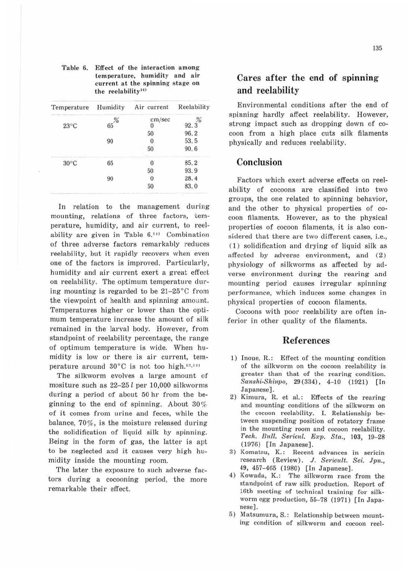| Temperature    | Humidity | Air current | Reelability |
|----------------|----------|-------------|-------------|
|                |          | cm/sec      |             |
| $23^{\circ}$ C | 65       |             | 92.3        |
|                |          | 50          | 96.2        |
|                | 90       |             | 53.5        |
|                |          | 50          | 90.6        |
| $30^{\circ}$ C | 65       |             | 85.2        |
|                |          | 50          | 93.9        |
|                | 90       |             | 28.4        |
|                |          | 50          | 83.0        |

Table 6. Effect of the interaction among temperature, humidity and air current at the spinning stage on the reclnbility<sup>10</sup>

In relation to the management during mounting, relations of three factors, temperature, humidity, and air current, to reelability are given in Table  $6.11$  Combination of three adverse factors remarkably reduces reelability, but it rapidly recovers when even one of the factors is improved. Particularly, humidity and air current exert a great effect on reelability. The optimum temperature during mounting is regarded to be 21-25°C from the viewpoint of health and spinning amount. Temperatures higher or lower than the optimum temperature increase the amount of silk remained in the larval body. However, from standpoint of reelability percentage, the range of optimum temperature is wide. When humidity is low or there is air current, temperature around  $30^{\circ}$ C is not too high.<sup>12,111</sup>

The silkworm evolves a large amount of mositure such as 22~25 *l* per 10,000 silkworms during a period of about 50 hr from the beginning to the end of spinning. About 30% of it comes from urine and feces, while the balance, 70%, is the moisture released during the solidification of liquid silk by spinning. Being in the form of gas, the latter is apt to be neglected and it causes very high humidity inside the mounting room.

The later the exposure to such adverse factors during a cocooning period, the more remarkable their effect.

## **Cares after the end of spinning and reelability**

Environmental conditions after the end of spinning hardly affect reelability. However, strong impact such as dropping down of cocoon from a high place cuts silk filaments physically and reduces reelability.

#### **Conclusion**

Factors which exert adverse effects on reelability of cocoons are classified into two groups, the one related to spinning behavior, and the other to physical properties of cocoon filaments. However, as to the physical properties of cocoon filaments, it is also considered that there are two different cases, i.e., (1) solidification and drying of liquid silk as affected by adverse environment, and (2) physiology of silkworms as affected by adverse environment during the rearing and mounting period causes irregular spinning performance, which induces some changes in physical properties of cocoon filaments.

Cocoons with poor reelability are often inferior in other quality of the filaments.

#### **References**

- l) Inoue, R.: Effect of the mounting condition of the silkworm on the cocoon reelability is greater than that of the rearing condition. Sanshi-Shinpo, 29(334), 4-10 (1921) [In Japanese).
- 2) Kimura, R. et al.: Effects of the rearing and mounting conditions of the silkworm on the cocoon reelability. I. Relationship between suspending position of rotatory frame in the mounting room and cocoon reelability. *'l'ech.* B1ill. *Se1-icul.* Exv. Sfo., 103, 19-28 (1976) [In Japanese).
- 3) Komatsu, K.: Recent advances in sericin research (Review). J. Sericult. *Sci.* Jpn., 49, 457-465 (1980) [In Japanese].
- 4) Kowada, K.: The silkworm race from the standpoint of raw silk production. Report of 16th meeting· of technical training for silkworm egg production, 55-78 (1971) [In Japanese].
- 5) Matsumura, S.: Relationship between mounting condition of silkworm and cocoon reel-